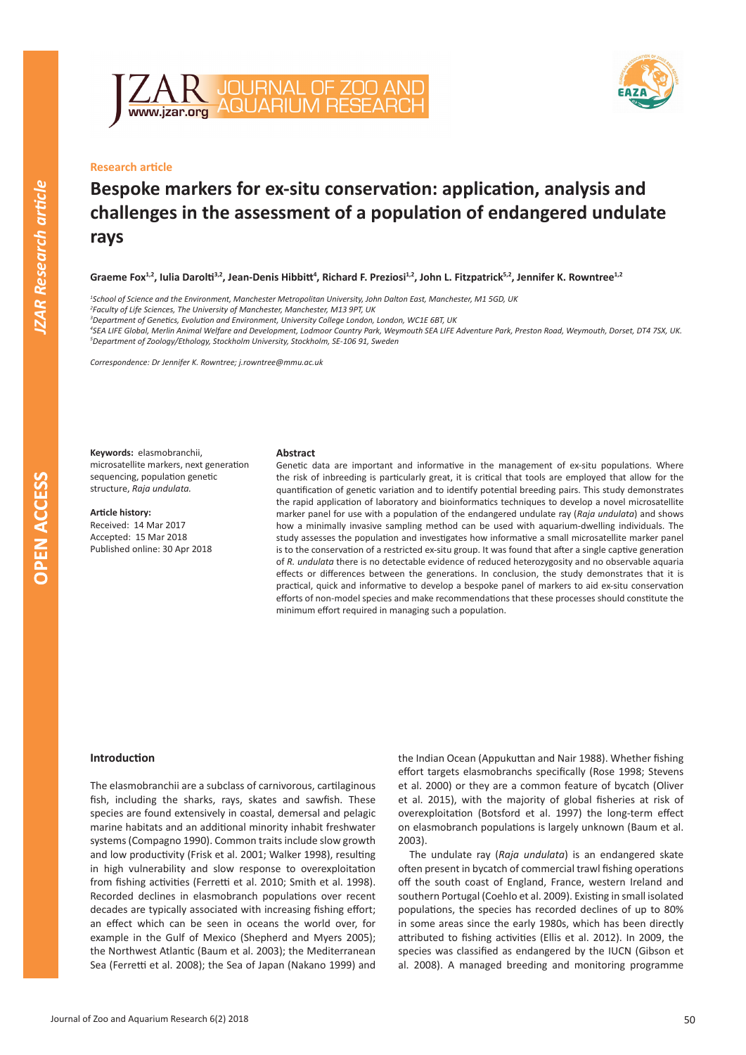



# **Research article**

# **Bespoke markers for ex-situ conservation: application, analysis and challenges in the assessment of a population of endangered undulate rays**

Graeme Fox<sup>1,2</sup>, Iulia Darolti<sup>3,2</sup>, Jean-Denis Hibbitt<sup>4</sup>, Richard F. Preziosi<sup>1,2</sup>, John L. Fitzpatrick<sup>5,2</sup>, Jennifer K. Rowntree<sup>1,2</sup>

*1 School of Science and the Environment, Manchester Metropolitan University, John Dalton East, Manchester, M1 5GD, UK*

*2 Faculty of Life Sciences, The University of Manchester, Manchester, M13 9PT, UK*

*3 Department of Genetics, Evolution and Environment, University College London, London, WC1E 6BT, UK*

*4 SEA LIFE Global, Merlin Animal Welfare and Development, Lodmoor Country Park, Weymouth SEA LIFE Adventure Park, Preston Road, Weymouth, Dorset, DT4 7SX, UK. 5 Department of Zoology/Ethology, Stockholm University, Stockholm, SE-106 91, Sweden*

*Correspondence: Dr Jennifer K. Rowntree; j.rowntree@mmu.ac.uk*

**Keywords:** elasmobranchii, microsatellite markers, next generation sequencing, population genetic structure, *Raja undulata.*

**Article history:** Received: 14 Mar 2017 Accepted: 15 Mar 2018 Published online: 30 Apr 2018

## **Abstract**

Genetic data are important and informative in the management of ex-situ populations. Where the risk of inbreeding is particularly great, it is critical that tools are employed that allow for the quantification of genetic variation and to identify potential breeding pairs. This study demonstrates the rapid application of laboratory and bioinformatics techniques to develop a novel microsatellite marker panel for use with a population of the endangered undulate ray (*Raja undulata*) and shows how a minimally invasive sampling method can be used with aquarium-dwelling individuals. The study assesses the population and investigates how informative a small microsatellite marker panel is to the conservation of a restricted ex-situ group. It was found that after a single captive generation of *R. undulata* there is no detectable evidence of reduced heterozygosity and no observable aquaria effects or differences between the generations. In conclusion, the study demonstrates that it is practical, quick and informative to develop a bespoke panel of markers to aid ex-situ conservation efforts of non-model species and make recommendations that these processes should constitute the minimum effort required in managing such a population.

#### **Introduction**

The elasmobranchii are a subclass of carnivorous, cartilaginous fish, including the sharks, rays, skates and sawfish. These species are found extensively in coastal, demersal and pelagic marine habitats and an additional minority inhabit freshwater systems (Compagno 1990). Common traits include slow growth and low productivity (Frisk et al. 2001; Walker 1998), resulting in high vulnerability and slow response to overexploitation from fishing activities (Ferretti et al. 2010; Smith et al. 1998). Recorded declines in elasmobranch populations over recent decades are typically associated with increasing fishing effort; an effect which can be seen in oceans the world over, for example in the Gulf of Mexico (Shepherd and Myers 2005); the Northwest Atlantic (Baum et al. 2003); the Mediterranean Sea (Ferretti et al. 2008); the Sea of Japan (Nakano 1999) and the Indian Ocean (Appukuttan and Nair 1988). Whether fishing effort targets elasmobranchs specifically (Rose 1998; Stevens et al. 2000) or they are a common feature of bycatch (Oliver et al. 2015), with the majority of global fisheries at risk of overexploitation (Botsford et al. 1997) the long-term effect on elasmobranch populations is largely unknown (Baum et al. 2003).

The undulate ray (*Raja undulata*) is an endangered skate often present in bycatch of commercial trawl fishing operations off the south coast of England, France, western Ireland and southern Portugal (Coehlo et al. 2009). Existing in small isolated populations, the species has recorded declines of up to 80% in some areas since the early 1980s, which has been directly attributed to fishing activities (Ellis et al. 2012). In 2009, the species was classified as endangered by the IUCN (Gibson et al. 2008). A managed breeding and monitoring programme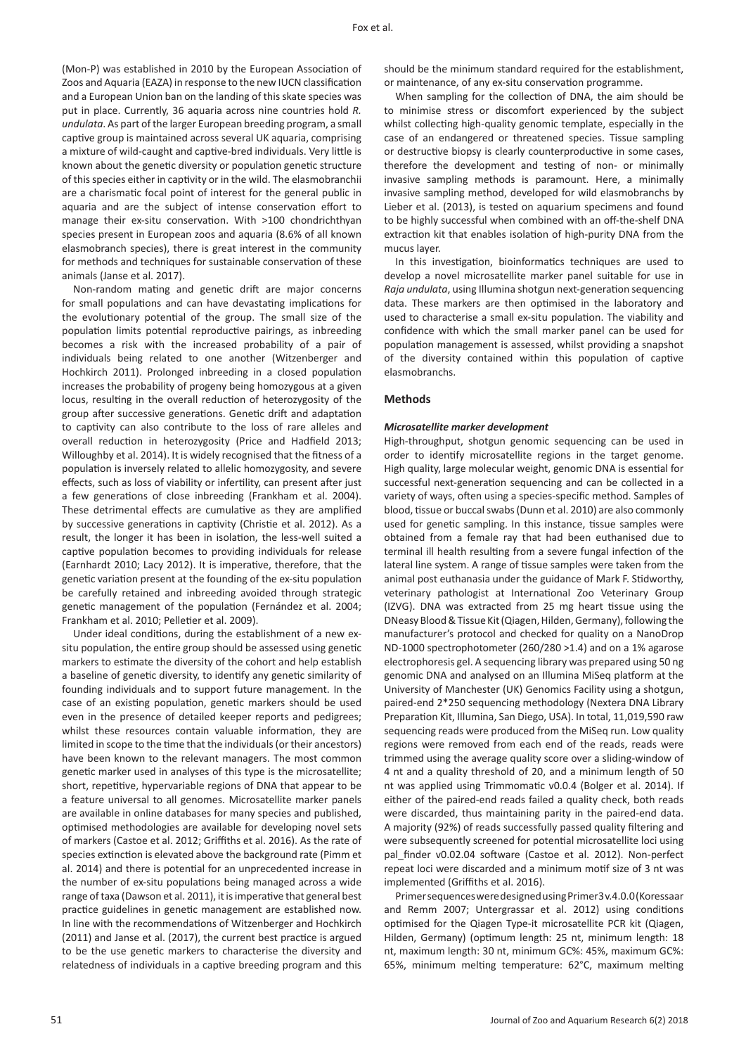(Mon-P) was established in 2010 by the European Association of Zoos and Aquaria (EAZA) in response to the new IUCN classification and a European Union ban on the landing of this skate species was put in place. Currently, 36 aquaria across nine countries hold *R. undulata*. As part of the larger European breeding program, a small captive group is maintained across several UK aquaria, comprising a mixture of wild-caught and captive-bred individuals. Very little is known about the genetic diversity or population genetic structure of this species either in captivity or in the wild. The elasmobranchii are a charismatic focal point of interest for the general public in aquaria and are the subject of intense conservation effort to manage their ex-situ conservation. With >100 chondrichthyan species present in European zoos and aquaria (8.6% of all known elasmobranch species), there is great interest in the community for methods and techniques for sustainable conservation of these animals (Janse et al. 2017).

Non-random mating and genetic drift are major concerns for small populations and can have devastating implications for the evolutionary potential of the group. The small size of the population limits potential reproductive pairings, as inbreeding becomes a risk with the increased probability of a pair of individuals being related to one another (Witzenberger and Hochkirch 2011). Prolonged inbreeding in a closed population increases the probability of progeny being homozygous at a given locus, resulting in the overall reduction of heterozygosity of the group after successive generations. Genetic drift and adaptation to captivity can also contribute to the loss of rare alleles and overall reduction in heterozygosity (Price and Hadfield 2013; Willoughby et al. 2014). It is widely recognised that the fitness of a population is inversely related to allelic homozygosity, and severe effects, such as loss of viability or infertility, can present after just a few generations of close inbreeding (Frankham et al. 2004). These detrimental effects are cumulative as they are amplified by successive generations in captivity (Christie et al. 2012). As a result, the longer it has been in isolation, the less-well suited a captive population becomes to providing individuals for release (Earnhardt 2010; Lacy 2012). It is imperative, therefore, that the genetic variation present at the founding of the ex-situ population be carefully retained and inbreeding avoided through strategic genetic management of the population (Fernández et al. 2004; Frankham et al. 2010; Pelletier et al. 2009).

Under ideal conditions, during the establishment of a new exsitu population, the entire group should be assessed using genetic markers to estimate the diversity of the cohort and help establish a baseline of genetic diversity, to identify any genetic similarity of founding individuals and to support future management. In the case of an existing population, genetic markers should be used even in the presence of detailed keeper reports and pedigrees; whilst these resources contain valuable information, they are limited in scope to the time that the individuals (or their ancestors) have been known to the relevant managers. The most common genetic marker used in analyses of this type is the microsatellite; short, repetitive, hypervariable regions of DNA that appear to be a feature universal to all genomes. Microsatellite marker panels are available in online databases for many species and published, optimised methodologies are available for developing novel sets of markers (Castoe et al. 2012; Griffiths et al. 2016). As the rate of species extinction is elevated above the background rate (Pimm et al. 2014) and there is potential for an unprecedented increase in the number of ex-situ populations being managed across a wide range of taxa (Dawson et al. 2011), it is imperative that general best practice guidelines in genetic management are established now. In line with the recommendations of Witzenberger and Hochkirch (2011) and Janse et al. (2017), the current best practice is argued to be the use genetic markers to characterise the diversity and relatedness of individuals in a captive breeding program and this

should be the minimum standard required for the establishment, or maintenance, of any ex-situ conservation programme.

When sampling for the collection of DNA, the aim should be to minimise stress or discomfort experienced by the subject whilst collecting high-quality genomic template, especially in the case of an endangered or threatened species. Tissue sampling or destructive biopsy is clearly counterproductive in some cases, therefore the development and testing of non- or minimally invasive sampling methods is paramount. Here, a minimally invasive sampling method, developed for wild elasmobranchs by Lieber et al. (2013), is tested on aquarium specimens and found to be highly successful when combined with an off-the-shelf DNA extraction kit that enables isolation of high-purity DNA from the mucus layer.

In this investigation, bioinformatics techniques are used to develop a novel microsatellite marker panel suitable for use in *Raja undulata*, using Illumina shotgun next-generation sequencing data. These markers are then optimised in the laboratory and used to characterise a small ex-situ population. The viability and confidence with which the small marker panel can be used for population management is assessed, whilst providing a snapshot of the diversity contained within this population of captive elasmobranchs.

## **Methods**

#### *Microsatellite marker development*

High-throughput, shotgun genomic sequencing can be used in order to identify microsatellite regions in the target genome. High quality, large molecular weight, genomic DNA is essential for successful next-generation sequencing and can be collected in a variety of ways, often using a species-specific method. Samples of blood, tissue or buccal swabs (Dunn et al. 2010) are also commonly used for genetic sampling. In this instance, tissue samples were obtained from a female ray that had been euthanised due to terminal ill health resulting from a severe fungal infection of the lateral line system. A range of tissue samples were taken from the animal post euthanasia under the guidance of Mark F. Stidworthy, veterinary pathologist at International Zoo Veterinary Group (IZVG). DNA was extracted from 25 mg heart tissue using the DNeasy Blood & Tissue Kit (Qiagen, Hilden, Germany), following the manufacturer's protocol and checked for quality on a NanoDrop ND-1000 spectrophotometer (260/280 >1.4) and on a 1% agarose electrophoresis gel. A sequencing library was prepared using 50 ng genomic DNA and analysed on an Illumina MiSeq platform at the University of Manchester (UK) Genomics Facility using a shotgun, paired-end 2\*250 sequencing methodology (Nextera DNA Library Preparation Kit, Illumina, San Diego, USA). In total, 11,019,590 raw sequencing reads were produced from the MiSeq run. Low quality regions were removed from each end of the reads, reads were trimmed using the average quality score over a sliding-window of 4 nt and a quality threshold of 20, and a minimum length of 50 nt was applied using Trimmomatic v0.0.4 (Bolger et al. 2014). If either of the paired-end reads failed a quality check, both reads were discarded, thus maintaining parity in the paired-end data. A majority (92%) of reads successfully passed quality filtering and were subsequently screened for potential microsatellite loci using pal finder v0.02.04 software (Castoe et al. 2012). Non-perfect repeat loci were discarded and a minimum motif size of 3 nt was implemented (Griffiths et al. 2016).

Primer sequences were designed using Primer3 v.4.0.0 (Koressaar and Remm 2007; Untergrassar et al. 2012) using conditions optimised for the Qiagen Type-it microsatellite PCR kit (Qiagen, Hilden, Germany) (optimum length: 25 nt, minimum length: 18 nt, maximum length: 30 nt, minimum GC%: 45%, maximum GC%: 65%, minimum melting temperature: 62°C, maximum melting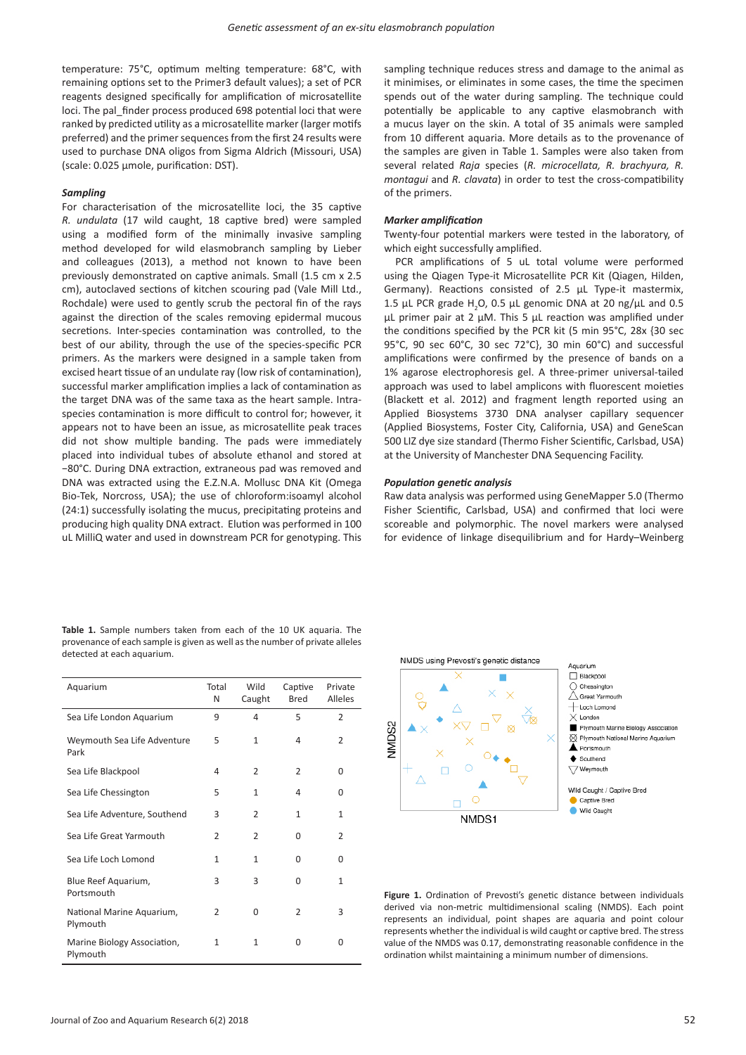temperature: 75°C, optimum melting temperature: 68°C, with remaining options set to the Primer3 default values); a set of PCR reagents designed specifically for amplification of microsatellite loci. The pal\_finder process produced 698 potential loci that were ranked by predicted utility as a microsatellite marker (larger motifs preferred) and the primer sequences from the first 24 results were used to purchase DNA oligos from Sigma Aldrich (Missouri, USA) (scale: 0.025 µmole, purification: DST).

## *Sampling*

For characterisation of the microsatellite loci, the 35 captive *R. undulata* (17 wild caught, 18 captive bred) were sampled using a modified form of the minimally invasive sampling method developed for wild elasmobranch sampling by Lieber and colleagues (2013), a method not known to have been previously demonstrated on captive animals. Small (1.5 cm x 2.5 cm), autoclaved sections of kitchen scouring pad (Vale Mill Ltd., Rochdale) were used to gently scrub the pectoral fin of the rays against the direction of the scales removing epidermal mucous secretions. Inter-species contamination was controlled, to the best of our ability, through the use of the species-specific PCR primers. As the markers were designed in a sample taken from excised heart tissue of an undulate ray (low risk of contamination), successful marker amplification implies a lack of contamination as the target DNA was of the same taxa as the heart sample. Intraspecies contamination is more difficult to control for; however, it appears not to have been an issue, as microsatellite peak traces did not show multiple banding. The pads were immediately placed into individual tubes of absolute ethanol and stored at −80°C. During DNA extraction, extraneous pad was removed and DNA was extracted using the E.Z.N.A. Mollusc DNA Kit (Omega Bio-Tek, Norcross, USA); the use of chloroform:isoamyl alcohol (24:1) successfully isolating the mucus, precipitating proteins and producing high quality DNA extract. Elution was performed in 100 uL MilliQ water and used in downstream PCR for genotyping. This

sampling technique reduces stress and damage to the animal as it minimises, or eliminates in some cases, the time the specimen spends out of the water during sampling. The technique could potentially be applicable to any captive elasmobranch with a mucus layer on the skin. A total of 35 animals were sampled from 10 different aquaria. More details as to the provenance of the samples are given in Table 1. Samples were also taken from several related *Raja* species (*R. microcellata, R. brachyura, R. montaqui* and *R. clavata*) in order to test the cross-compatibility of the primers.

## *Marker amplification*

Twenty-four potential markers were tested in the laboratory, of which eight successfully amplified.

PCR amplifications of 5 uL total volume were performed using the Qiagen Type-it Microsatellite PCR Kit (Qiagen, Hilden, Germany). Reactions consisted of 2.5 µL Type-it mastermix, 1.5 µL PCR grade  $H_2O$ , 0.5 µL genomic DNA at 20 ng/µL and 0.5 µL primer pair at 2 µM. This 5 µL reaction was amplified under the conditions specified by the PCR kit (5 min 95°C, 28x {30 sec 95°C, 90 sec 60°C, 30 sec 72°C}, 30 min 60°C) and successful amplifications were confirmed by the presence of bands on a 1% agarose electrophoresis gel. A three-primer universal-tailed approach was used to label amplicons with fluorescent moieties (Blackett et al. 2012) and fragment length reported using an Applied Biosystems 3730 DNA analyser capillary sequencer (Applied Biosystems, Foster City, California, USA) and GeneScan 500 LIZ dye size standard (Thermo Fisher Scientific, Carlsbad, USA) at the University of Manchester DNA Sequencing Facility.

#### *Population genetic analysis*

Raw data analysis was performed using GeneMapper 5.0 (Thermo Fisher Scientific, Carlsbad, USA) and confirmed that loci were scoreable and polymorphic. The novel markers were analysed for evidence of linkage disequilibrium and for Hardy–Weinberg

| Aquarium                                | Total<br>N     | Wild<br>Caught | Captive<br><b>Bred</b> | Private<br>Alleles |
|-----------------------------------------|----------------|----------------|------------------------|--------------------|
| Sea Life London Aquarium                | 9              | 4              | 5                      | $\overline{2}$     |
| Weymouth Sea Life Adventure<br>Park     | 5              | $\mathbf{1}$   | 4                      | $\overline{2}$     |
| Sea Life Blackpool                      | 4              | $\overline{2}$ | $\overline{2}$         | $\Omega$           |
| Sea Life Chessington                    | 5              | $\mathbf{1}$   | 4                      | 0                  |
| Sea Life Adventure, Southend            | 3              | $\overline{2}$ | $\mathbf{1}$           | 1                  |
| Sea Life Great Yarmouth                 | $\overline{2}$ | $\overline{2}$ | $\Omega$               | $\overline{2}$     |
| Sea Life Loch Lomond                    | $\mathbf{1}$   | $\mathbf{1}$   | $\Omega$               | $\Omega$           |
| Blue Reef Aquarium,<br>Portsmouth       | 3              | 3              | 0                      | $\mathbf{1}$       |
| National Marine Aquarium,<br>Plymouth   | $\overline{2}$ | $\Omega$       | $\mathcal{P}$          | 3                  |
| Marine Biology Association,<br>Plymouth | $\mathbf{1}$   | $\mathbf{1}$   | $\Omega$               | $\Omega$           |

**Table 1.** Sample numbers taken from each of the 10 UK aquaria. The provenance of each sample is given as well as the number of private alleles detected at each aquarium.



Figure 1. Ordination of Prevosti's genetic distance between individuals derived via non-metric multidimensional scaling (NMDS). Each point represents an individual, point shapes are aquaria and point colour represents whether the individual is wild caught or captive bred. The stress value of the NMDS was 0.17, demonstrating reasonable confidence in the ordination whilst maintaining a minimum number of dimensions.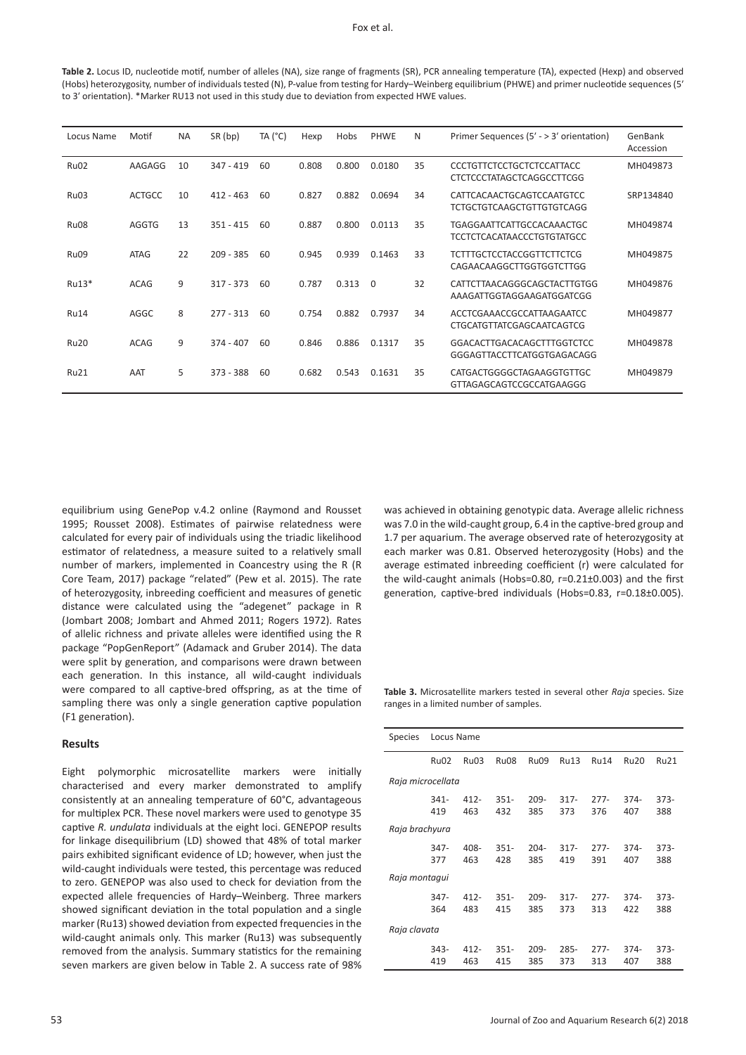#### Fox et al.

**Table 2.** Locus ID, nucleotide motif, number of alleles (NA), size range of fragments (SR), PCR annealing temperature (TA), expected (Hexp) and observed (Hobs) heterozygosity, number of individuals tested (N), P-value from testing for Hardy–Weinberg equilibrium (PHWE) and primer nucleotide sequences (5′ to 3′ orientation). \*Marker RU13 not used in this study due to deviation from expected HWE values.

| Locus Name  | Motif         | ΝA | SR (bp)     | TA $(^{\circ}C)$ | Hexp  | Hobs  | PHWE     | N  | Primer Sequences (5' - > 3' orientation)                              | GenBank<br>Accession |
|-------------|---------------|----|-------------|------------------|-------|-------|----------|----|-----------------------------------------------------------------------|----------------------|
| Ru02        | AAGAGG        | 10 | $347 - 419$ | 60               | 0.808 | 0.800 | 0.0180   | 35 | <b>CCCTGTTCTCCTGCTCTCCATTACC</b><br><b>CTCTCCCTATAGCTCAGGCCTTCGG</b>  | MH049873             |
| Ru03        | <b>ACTGCC</b> | 10 | $412 - 463$ | 60               | 0.827 | 0.882 | 0.0694   | 34 | CATTCACAACTGCAGTCCAATGTCC<br><b>TCTGCTGTCAAGCTGTTGTGTCAGG</b>         | SRP134840            |
| <b>Ru08</b> | <b>AGGTG</b>  | 13 | $351 - 415$ | 60               | 0.887 | 0.800 | 0.0113   | 35 | <b>TGAGGAATTCATTGCCACAAACTGC</b><br><b>TCCTCTCACATAACCCTGTGTATGCC</b> | MH049874             |
| Ru09        | <b>ATAG</b>   | 22 | $209 - 385$ | 60               | 0.945 | 0.939 | 0.1463   | 33 | TCTTTGCTCCTACCGGTTCTTCTCG<br>CAGAACAAGGCTTGGTGGTCTTGG                 | MH049875             |
| Ru13*       | <b>ACAG</b>   | 9  | $317 - 373$ | 60               | 0.787 | 0.313 | $\Omega$ | 32 | CATTCTTAACAGGGCAGCTACTTGTGG<br>AAAGATTGGTAGGAAGATGGATCGG              | MH049876             |
| <b>Ru14</b> | AGGC          | 8  | $277 - 313$ | 60               | 0.754 | 0.882 | 0.7937   | 34 | ACCTCGAAACCGCCATTAAGAATCC<br>CTGCATGTTATCGAGCAATCAGTCG                | MH049877             |
| <b>Ru20</b> | <b>ACAG</b>   | 9  | $374 - 407$ | 60               | 0.846 | 0.886 | 0.1317   | 35 | GGACACTTGACACAGCTTTGGTCTCC<br>GGGAGTTACCTTCATGGTGAGACAGG              | MH049878             |
| <b>Ru21</b> | AAT           | 5  | $373 - 388$ | 60               | 0.682 | 0.543 | 0.1631   | 35 | CATGACTGGGGCTAGAAGGTGTTGC<br>GTTAGAGCAGTCCGCCATGAAGGG                 | MH049879             |

equilibrium using GenePop v.4.2 online (Raymond and Rousset 1995; Rousset 2008). Estimates of pairwise relatedness were calculated for every pair of individuals using the triadic likelihood estimator of relatedness, a measure suited to a relatively small number of markers, implemented in Coancestry using the R (R Core Team, 2017) package "related" (Pew et al. 2015). The rate of heterozygosity, inbreeding coefficient and measures of genetic distance were calculated using the "adegenet" package in R (Jombart 2008; Jombart and Ahmed 2011; Rogers 1972). Rates of allelic richness and private alleles were identified using the R package "PopGenReport" (Adamack and Gruber 2014). The data were split by generation, and comparisons were drawn between each generation. In this instance, all wild-caught individuals were compared to all captive-bred offspring, as at the time of sampling there was only a single generation captive population (F1 generation).

## **Results**

Eight polymorphic microsatellite markers were initially characterised and every marker demonstrated to amplify consistently at an annealing temperature of 60°C, advantageous for multiplex PCR. These novel markers were used to genotype 35 captive *R. undulata* individuals at the eight loci. GENEPOP results for linkage disequilibrium (LD) showed that 48% of total marker pairs exhibited significant evidence of LD; however, when just the wild-caught individuals were tested, this percentage was reduced to zero. GENEPOP was also used to check for deviation from the expected allele frequencies of Hardy–Weinberg. Three markers showed significant deviation in the total population and a single marker (Ru13) showed deviation from expected frequencies in the wild-caught animals only. This marker (Ru13) was subsequently removed from the analysis. Summary statistics for the remaining seven markers are given below in Table 2. A success rate of 98%

was achieved in obtaining genotypic data. Average allelic richness was 7.0 in the wild-caught group, 6.4 in the captive-bred group and 1.7 per aquarium. The average observed rate of heterozygosity at each marker was 0.81. Observed heterozygosity (Hobs) and the average estimated inbreeding coefficient (r) were calculated for the wild-caught animals (Hobs=0.80, r=0.21±0.003) and the first generation, captive-bred individuals (Hobs=0.83, r=0.18±0.005).

**Table 3.** Microsatellite markers tested in several other *Raja* species. Size ranges in a limited number of samples.

| <b>Species</b>    | Locus Name       |                |                  |                |                |               |                |               |  |
|-------------------|------------------|----------------|------------------|----------------|----------------|---------------|----------------|---------------|--|
|                   | Ru <sub>02</sub> | Ru03           | Ru <sub>08</sub> | Ru09           | <b>Ru13</b>    | <b>Ru14</b>   | <b>Ru20</b>    | Ru21          |  |
| Raja microcellata |                  |                |                  |                |                |               |                |               |  |
|                   | $341 -$<br>419   | $412 -$<br>463 | $351 -$<br>432   | $209 -$<br>385 | $317 -$<br>373 | $277-$<br>376 | $374 -$<br>407 | $373-$<br>388 |  |
| Raja brachyura    |                  |                |                  |                |                |               |                |               |  |
|                   | $347 -$<br>377   | 408-<br>463    | $351 -$<br>428   | $204 -$<br>385 | $317 -$<br>419 | $277-$<br>391 | $374 -$<br>407 | $373-$<br>388 |  |
| Raja montaqui     |                  |                |                  |                |                |               |                |               |  |
|                   | $347 -$<br>364   | $412 -$<br>483 | $351 -$<br>415   | $209 -$<br>385 | $317 -$<br>373 | $277-$<br>313 | $374 -$<br>422 | $373-$<br>388 |  |
| Raja clavata      |                  |                |                  |                |                |               |                |               |  |
|                   | $343-$<br>419    | $412 -$<br>463 | $351 -$<br>415   | $209 -$<br>385 | $285 -$<br>373 | $277-$<br>313 | $374 -$<br>407 | $373-$<br>388 |  |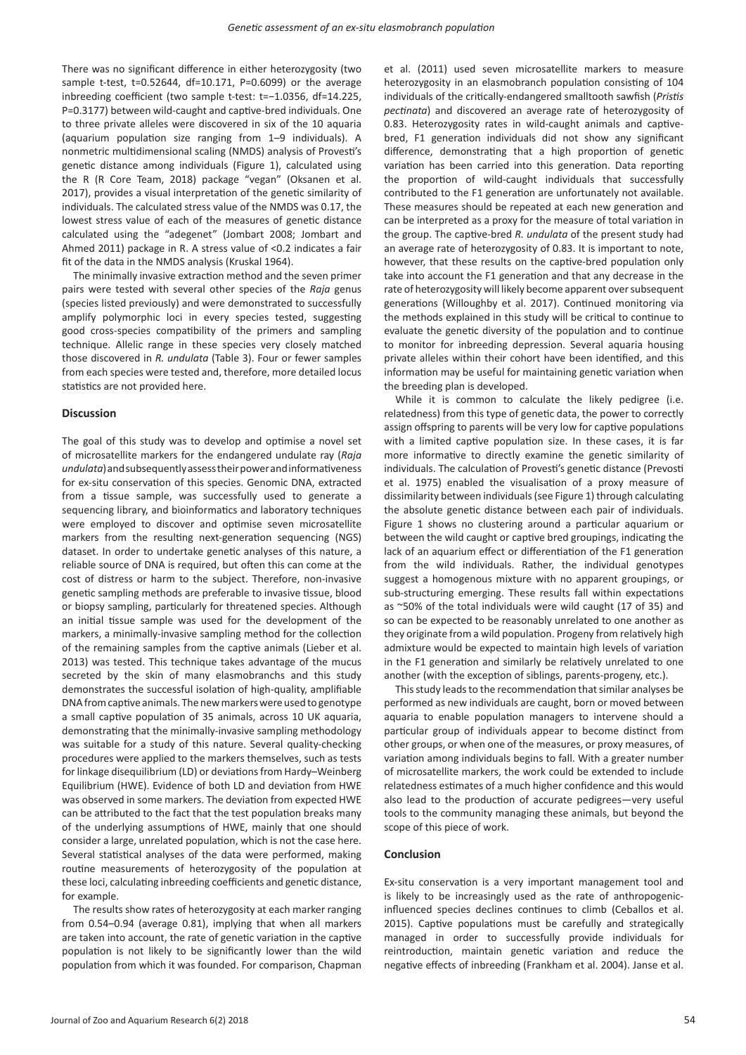There was no significant difference in either heterozygosity (two sample t-test, t=0.52644, df=10.171, P=0.6099) or the average inbreeding coefficient (two sample t-test: t=−1.0356, df=14.225, P=0.3177) between wild-caught and captive-bred individuals. One to three private alleles were discovered in six of the 10 aquaria (aquarium population size ranging from 1–9 individuals). A nonmetric multidimensional scaling (NMDS) analysis of Provesti's genetic distance among individuals (Figure 1), calculated using the R (R Core Team, 2018) package "vegan" (Oksanen et al. 2017), provides a visual interpretation of the genetic similarity of individuals. The calculated stress value of the NMDS was 0.17, the lowest stress value of each of the measures of genetic distance calculated using the "adegenet" (Jombart 2008; Jombart and Ahmed 2011) package in R. A stress value of <0.2 indicates a fair fit of the data in the NMDS analysis (Kruskal 1964).

The minimally invasive extraction method and the seven primer pairs were tested with several other species of the *Raja* genus (species listed previously) and were demonstrated to successfully amplify polymorphic loci in every species tested, suggesting good cross-species compatibility of the primers and sampling technique. Allelic range in these species very closely matched those discovered in *R. undulata* (Table 3). Four or fewer samples from each species were tested and, therefore, more detailed locus statistics are not provided here.

## **Discussion**

The goal of this study was to develop and optimise a novel set of microsatellite markers for the endangered undulate ray (*Raja undulata*) and subsequently assess their power and informativeness for ex-situ conservation of this species. Genomic DNA, extracted from a tissue sample, was successfully used to generate a sequencing library, and bioinformatics and laboratory techniques were employed to discover and optimise seven microsatellite markers from the resulting next-generation sequencing (NGS) dataset. In order to undertake genetic analyses of this nature, a reliable source of DNA is required, but often this can come at the cost of distress or harm to the subject. Therefore, non-invasive genetic sampling methods are preferable to invasive tissue, blood or biopsy sampling, particularly for threatened species. Although an initial tissue sample was used for the development of the markers, a minimally-invasive sampling method for the collection of the remaining samples from the captive animals (Lieber et al. 2013) was tested. This technique takes advantage of the mucus secreted by the skin of many elasmobranchs and this study demonstrates the successful isolation of high-quality, amplifiable DNA from captive animals. The new markers were used to genotype a small captive population of 35 animals, across 10 UK aquaria, demonstrating that the minimally-invasive sampling methodology was suitable for a study of this nature. Several quality-checking procedures were applied to the markers themselves, such as tests for linkage disequilibrium (LD) or deviations from Hardy–Weinberg Equilibrium (HWE). Evidence of both LD and deviation from HWE was observed in some markers. The deviation from expected HWE can be attributed to the fact that the test population breaks many of the underlying assumptions of HWE, mainly that one should consider a large, unrelated population, which is not the case here. Several statistical analyses of the data were performed, making routine measurements of heterozygosity of the population at these loci, calculating inbreeding coefficients and genetic distance, for example.

The results show rates of heterozygosity at each marker ranging from 0.54–0.94 (average 0.81), implying that when all markers are taken into account, the rate of genetic variation in the captive population is not likely to be significantly lower than the wild population from which it was founded. For comparison, Chapman

et al. (2011) used seven microsatellite markers to measure heterozygosity in an elasmobranch population consisting of 104 individuals of the critically-endangered smalltooth sawfish (*Pristis pectinata*) and discovered an average rate of heterozygosity of 0.83. Heterozygosity rates in wild-caught animals and captivebred, F1 generation individuals did not show any significant difference, demonstrating that a high proportion of genetic variation has been carried into this generation. Data reporting the proportion of wild-caught individuals that successfully contributed to the F1 generation are unfortunately not available. These measures should be repeated at each new generation and can be interpreted as a proxy for the measure of total variation in the group. The captive-bred *R. undulata* of the present study had an average rate of heterozygosity of 0.83. It is important to note, however, that these results on the captive-bred population only take into account the F1 generation and that any decrease in the rate of heterozygosity will likely become apparent over subsequent generations (Willoughby et al. 2017). Continued monitoring via the methods explained in this study will be critical to continue to evaluate the genetic diversity of the population and to continue to monitor for inbreeding depression. Several aquaria housing private alleles within their cohort have been identified, and this information may be useful for maintaining genetic variation when the breeding plan is developed.

While it is common to calculate the likely pedigree (i.e. relatedness) from this type of genetic data, the power to correctly assign offspring to parents will be very low for captive populations with a limited captive population size. In these cases, it is far more informative to directly examine the genetic similarity of individuals. The calculation of Provesti's genetic distance (Prevosti et al. 1975) enabled the visualisation of a proxy measure of dissimilarity between individuals (see Figure 1) through calculating the absolute genetic distance between each pair of individuals. Figure 1 shows no clustering around a particular aquarium or between the wild caught or captive bred groupings, indicating the lack of an aquarium effect or differentiation of the F1 generation from the wild individuals. Rather, the individual genotypes suggest a homogenous mixture with no apparent groupings, or sub-structuring emerging. These results fall within expectations as ~50% of the total individuals were wild caught (17 of 35) and so can be expected to be reasonably unrelated to one another as they originate from a wild population. Progeny from relatively high admixture would be expected to maintain high levels of variation in the F1 generation and similarly be relatively unrelated to one another (with the exception of siblings, parents-progeny, etc.).

This study leads to the recommendation that similar analyses be performed as new individuals are caught, born or moved between aquaria to enable population managers to intervene should a particular group of individuals appear to become distinct from other groups, or when one of the measures, or proxy measures, of variation among individuals begins to fall. With a greater number of microsatellite markers, the work could be extended to include relatedness estimates of a much higher confidence and this would also lead to the production of accurate pedigrees—very useful tools to the community managing these animals, but beyond the scope of this piece of work.

## **Conclusion**

Ex-situ conservation is a very important management tool and is likely to be increasingly used as the rate of anthropogenicinfluenced species declines continues to climb (Ceballos et al. 2015). Captive populations must be carefully and strategically managed in order to successfully provide individuals for reintroduction, maintain genetic variation and reduce the negative effects of inbreeding (Frankham et al. 2004). Janse et al.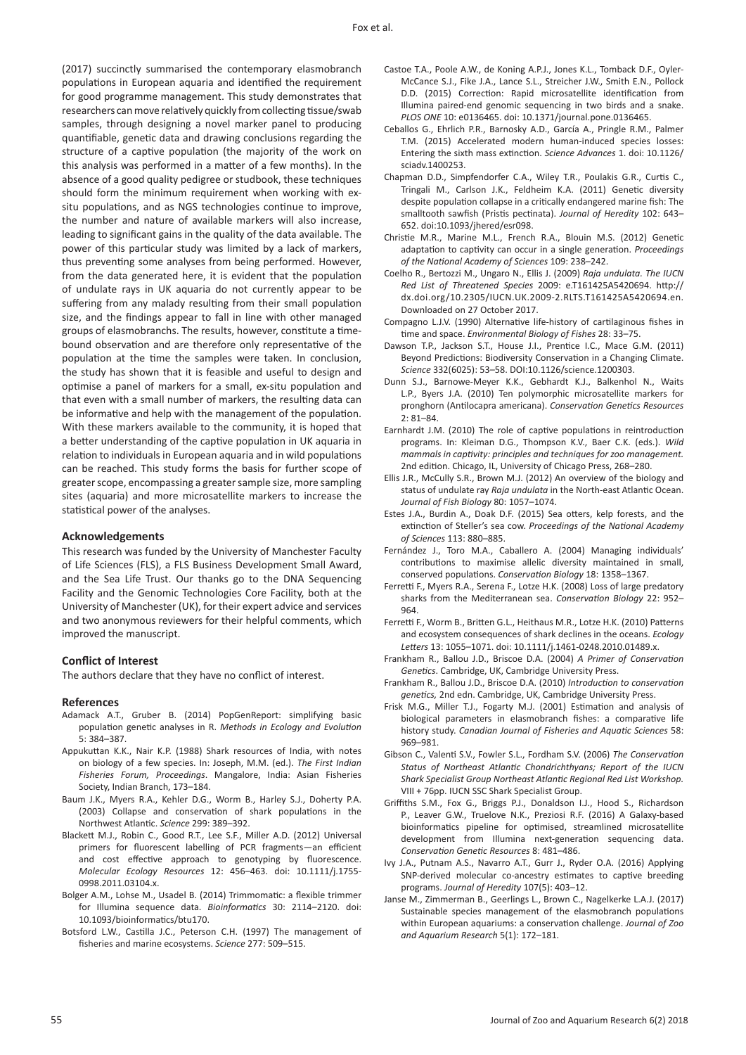(2017) succinctly summarised the contemporary elasmobranch populations in European aquaria and identified the requirement for good programme management. This study demonstrates that researchers can move relatively quickly from collecting tissue/swab samples, through designing a novel marker panel to producing quantifiable, genetic data and drawing conclusions regarding the structure of a captive population (the majority of the work on this analysis was performed in a matter of a few months). In the absence of a good quality pedigree or studbook, these techniques should form the minimum requirement when working with exsitu populations, and as NGS technologies continue to improve, the number and nature of available markers will also increase, leading to significant gains in the quality of the data available. The power of this particular study was limited by a lack of markers, thus preventing some analyses from being performed. However, from the data generated here, it is evident that the population of undulate rays in UK aquaria do not currently appear to be suffering from any malady resulting from their small population size, and the findings appear to fall in line with other managed groups of elasmobranchs. The results, however, constitute a timebound observation and are therefore only representative of the population at the time the samples were taken. In conclusion, the study has shown that it is feasible and useful to design and optimise a panel of markers for a small, ex-situ population and that even with a small number of markers, the resulting data can be informative and help with the management of the population. With these markers available to the community, it is hoped that a better understanding of the captive population in UK aquaria in relation to individuals in European aquaria and in wild populations can be reached. This study forms the basis for further scope of greater scope, encompassing a greater sample size, more sampling sites (aquaria) and more microsatellite markers to increase the statistical power of the analyses.

## **Acknowledgements**

This research was funded by the University of Manchester Faculty of Life Sciences (FLS), a FLS Business Development Small Award, and the Sea Life Trust. Our thanks go to the DNA Sequencing Facility and the Genomic Technologies Core Facility, both at the University of Manchester (UK), for their expert advice and services and two anonymous reviewers for their helpful comments, which improved the manuscript.

## **Conflict of Interest**

The authors declare that they have no conflict of interest.

## **References**

- Adamack A.T., Gruber B. (2014) PopGenReport: simplifying basic population genetic analyses in R. *Methods in Ecology and Evolution* 5: 384–387.
- Appukuttan K.K., Nair K.P. (1988) Shark resources of India, with notes on biology of a few species. In: Joseph, M.M. (ed.). *The First Indian Fisheries Forum, Proceedings*. Mangalore, India: Asian Fisheries Society, Indian Branch, 173–184.
- Baum J.K., Myers R.A., Kehler D.G., Worm B., Harley S.J., Doherty P.A. (2003) Collapse and conservation of shark populations in the Northwest Atlantic. *Science* 299: 389–392.
- Blackett M.J., Robin C., Good R.T., Lee S.F., Miller A.D. (2012) Universal primers for fluorescent labelling of PCR fragments—an efficient and cost effective approach to genotyping by fluorescence. *Molecular Ecology Resources* 12: 456–463. doi: 10.1111/j.1755- 0998.2011.03104.x.
- Bolger A.M., Lohse M., Usadel B. (2014) Trimmomatic: a flexible trimmer for Illumina sequence data. *Bioinformatics* 30: 2114–2120. doi: 10.1093/bioinformatics/btu170.
- Botsford L.W., Castilla J.C., Peterson C.H. (1997) The management of fisheries and marine ecosystems. *Science* 277: 509–515.
- Castoe T.A., Poole A.W., de Koning A.P.J., Jones K.L., Tomback D.F., Oyler-McCance S.J., Fike J.A., Lance S.L., Streicher J.W., Smith E.N., Pollock D.D. (2015) Correction: Rapid microsatellite identification from Illumina paired-end genomic sequencing in two birds and a snake. *PLOS ONE* 10: e0136465. doi: 10.1371/journal.pone.0136465.
- Ceballos G., Ehrlich P.R., Barnosky A.D., García A., Pringle R.M., Palmer T.M. (2015) Accelerated modern human-induced species losses: Entering the sixth mass extinction. *Science Advances* 1. doi: 10.1126/ sciadv.1400253.
- Chapman D.D., Simpfendorfer C.A., Wiley T.R., Poulakis G.R., Curtis C., Tringali M., Carlson J.K., Feldheim K.A. (2011) Genetic diversity despite population collapse in a critically endangered marine fish: The smalltooth sawfish (Pristis pectinata). *Journal of Heredity* 102: 643– 652. doi:10.1093/jhered/esr098.
- Christie M.R., Marine M.L., French R.A., Blouin M.S. (2012) Genetic adaptation to captivity can occur in a single generation. *Proceedings of the National Academy of Sciences* 109: 238–242.
- Coelho R., Bertozzi M., Ungaro N., Ellis J. (2009) *Raja undulata. The IUCN Red List of Threatened Species* 2009: e.T161425A5420694. http:// dx.doi.org/10.2305/IUCN.UK.2009-2.RLTS.T161425A5420694.en. Downloaded on 27 October 2017.
- Compagno L.J.V. (1990) Alternative life-history of cartilaginous fishes in time and space. *Environmental Biology of Fishes* 28: 33–75.
- Dawson T.P., Jackson S.T., House J.I., Prentice I.C., Mace G.M. (2011) Beyond Predictions: Biodiversity Conservation in a Changing Climate. *Science* 332(6025): 53–58. DOI:10.1126/science.1200303.
- Dunn S.J., Barnowe-Meyer K.K., Gebhardt K.J., Balkenhol N., Waits L.P., Byers J.A. (2010) Ten polymorphic microsatellite markers for pronghorn (Antilocapra americana). *Conservation Genetics Resources* 2: 81–84.
- Earnhardt J.M. (2010) The role of captive populations in reintroduction programs. In: Kleiman D.G., Thompson K.V., Baer C.K. (eds.). *Wild mammals in captivity: principles and techniques for zoo management.* 2nd edition. Chicago, IL, University of Chicago Press, 268–280.
- Ellis J.R., McCully S.R., Brown M.J. (2012) An overview of the biology and status of undulate ray *Raja undulata* in the North-east Atlantic Ocean. *Journal of Fish Biology* 80: 1057–1074.
- Estes J.A., Burdin A., Doak D.F. (2015) Sea otters, kelp forests, and the extinction of Steller's sea cow. *Proceedings of the National Academy of Sciences* 113: 880–885.
- Fernández J., Toro M.A., Caballero A. (2004) Managing individuals' contributions to maximise allelic diversity maintained in small, conserved populations. *Conservation Biology* 18: 1358–1367.
- Ferretti F., Myers R.A., Serena F., Lotze H.K. (2008) Loss of large predatory sharks from the Mediterranean sea. *Conservation Biology* 22: 952– 964.
- Ferretti F., Worm B., Britten G.L., Heithaus M.R., Lotze H.K. (2010) Patterns and ecosystem consequences of shark declines in the oceans. *Ecology Letters* 13: 1055–1071. doi: 10.1111/j.1461-0248.2010.01489.x.
- Frankham R., Ballou J.D., Briscoe D.A. (2004) *A Primer of Conservation Genetics*. Cambridge, UK, Cambridge University Press.
- Frankham R., Ballou J.D., Briscoe D.A. (2010) *Introduction to conservation genetics,* 2nd edn. Cambridge, UK, Cambridge University Press.
- Frisk M.G., Miller T.J., Fogarty M.J. (2001) Estimation and analysis of biological parameters in elasmobranch fishes: a comparative life history study. *Canadian Journal of Fisheries and Aquatic Sciences* 58: 969–981.
- Gibson C., Valenti S.V., Fowler S.L., Fordham S.V. (2006) *The Conservation Status of Northeast Atlantic Chondrichthyans; Report of the IUCN Shark Specialist Group Northeast Atlantic Regional Red List Workshop.* VIII + 76pp. IUCN SSC Shark Specialist Group.
- Griffiths S.M., Fox G., Briggs P.J., Donaldson I.J., Hood S., Richardson P., Leaver G.W., Truelove N.K., Preziosi R.F. (2016) A Galaxy-based bioinformatics pipeline for optimised, streamlined microsatellite development from Illumina next-generation sequencing data. *Conservation Genetic Resources* 8: 481–486.
- Ivy J.A., Putnam A.S., Navarro A.T., Gurr J., Ryder O.A. (2016) Applying SNP-derived molecular co-ancestry estimates to captive breeding programs. *Journal of Heredity* 107(5): 403–12.
- Janse M., Zimmerman B., Geerlings L., Brown C., Nagelkerke L.A.J. (2017) Sustainable species management of the elasmobranch populations within European aquariums: a conservation challenge. *Journal of Zoo and Aquarium Research* 5(1): 172–181.